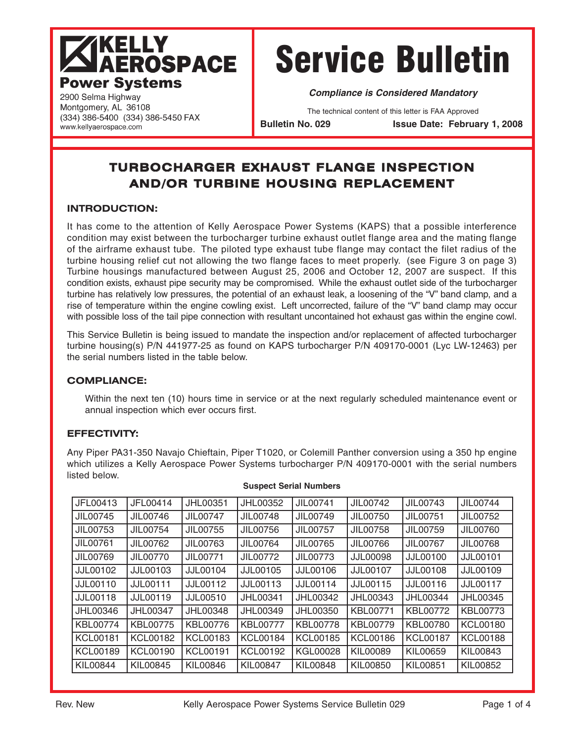## **KELLY AEROSPACE Power Systems**

(334) 386-5400 (334) 386-5450 FAX

# Service Bulletin

**Compliance is Considered Mandatory**

The technical content of this letter is FAA Approved

**Bulletin No. 029 Issue Date: February 1, 2008**

### **TURBOCHARGER EXHAUST FLANGE INSPECTION AND/OR TURBINE HOUSING REPLACEMENT**

#### **INTRODUCTION:**

2900 Selma Highway Montgomery, AL 36108

www.kellyaerospace.com

It has come to the attention of Kelly Aerospace Power Systems (KAPS) that a possible interference condition may exist between the turbocharger turbine exhaust outlet flange area and the mating flange of the airframe exhaust tube. The piloted type exhaust tube flange may contact the filet radius of the turbine housing relief cut not allowing the two flange faces to meet properly. (see Figure 3 on page 3) Turbine housings manufactured between August 25, 2006 and October 12, 2007 are suspect. If this condition exists, exhaust pipe security may be compromised. While the exhaust outlet side of the turbocharger turbine has relatively low pressures, the potential of an exhaust leak, a loosening of the "V" band clamp, and a rise of temperature within the engine cowling exist. Left uncorrected, failure of the "V" band clamp may occur with possible loss of the tail pipe connection with resultant uncontained hot exhaust gas within the engine cowl.

This Service Bulletin is being issued to mandate the inspection and/or replacement of affected turbocharger turbine housing(s) P/N 441977-25 as found on KAPS turbocharger P/N 409170-0001 (Lyc LW-12463) per the serial numbers listed in the table below.

#### **COMPLIANCE:**

Within the next ten (10) hours time in service or at the next regularly scheduled maintenance event or annual inspection which ever occurs first.

#### **EFFECTIVITY:**

Any Piper PA31-350 Navajo Chieftain, Piper T1020, or Colemill Panther conversion using a 350 hp engine which utilizes a Kelly Aerospace Power Systems turbocharger P/N 409170-0001 with the serial numbers listed below.

| JFL00413        | JFL00414        | JHL00351        | JHL00352        | JIL00741        | JIL00742        | JIL00743        | JIL00744        |
|-----------------|-----------------|-----------------|-----------------|-----------------|-----------------|-----------------|-----------------|
| JIL00745        | JIL00746        | JIL00747        | JIL00748        | JIL00749        | JIL00750        | JIL00751        | JIL00752        |
| JIL00753        | JIL00754        | JIL00755        | JIL00756        | JIL00757        | JIL00758        | JIL00759        | JIL00760        |
| JIL00761        | JIL00762        | JIL00763        | JIL00764        | JIL00765        | JIL00766        | JIL00767        | JIL00768        |
| JIL00769        | JIL00770        | JIL00771        | JIL00772        | JIL00773        | <b>JJL00098</b> | JJL00100        | <b>JJL00101</b> |
| JJL00102        | <b>JJL00103</b> | JJL00104        | JJL00105        | JJL00106        | JJL00107        | JJL00108        | JJL00109        |
| JJL00110        | <b>JJL00111</b> | JJL00112        | JJL00113        | JJL00114        | JJL00115        | JJL00116        | JJL00117        |
| <b>JJL00118</b> | <b>JJL00119</b> | JJL00510        | JHL00341        | JHL00342        | JHL00343        | JHL00344        | JHL00345        |
| JHL00346        | JHL00347        | JHL00348        | JHL00349        | JHL00350        | KBL00771        | KBL00772        | KBL00773        |
| <b>KBL00774</b> | KBL00775        | KBL00776        | <b>KBL00777</b> | <b>KBL00778</b> | KBL00779        | KBL00780        | <b>KCL00180</b> |
| <b>KCL00181</b> | <b>KCL00182</b> | <b>KCL00183</b> | <b>KCL00184</b> | <b>KCL00185</b> | <b>KCL00186</b> | <b>KCL00187</b> | <b>KCL00188</b> |
| <b>KCL00189</b> | <b>KCL00190</b> | <b>KCL00191</b> | <b>KCL00192</b> | <b>KGL00028</b> | KIL00089        | KIL00659        | KIL00843        |
| KIL00844        | KIL00845        | KIL00846        | <b>KIL00847</b> | KIL00848        | KIL00850        | KIL00851        | KIL00852        |

#### **Suspect Serial Numbers**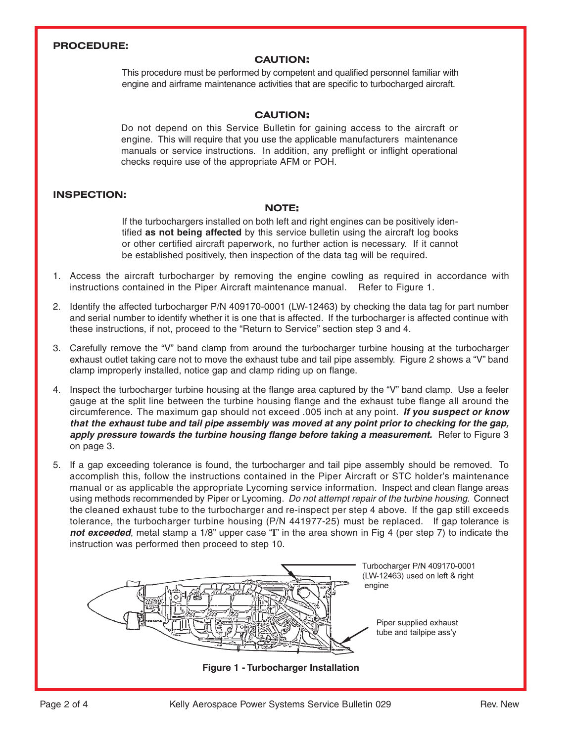#### **PROCEDURE:**

#### **CAUTION:**

This procedure must be performed by competent and qualified personnel familiar with engine and airframe maintenance activities that are specific to turbocharged aircraft.

#### **CAUTION:**

Do not depend on this Service Bulletin for gaining access to the aircraft or engine. This will require that you use the applicable manufacturers maintenance manuals or service instructions. In addition, any preflight or inflight operational checks require use of the appropriate AFM or POH.

#### **INSPECTION:**

#### **NOTE:**

If the turbochargers installed on both left and right engines can be positively identified **as not being affected** by this service bulletin using the aircraft log books or other certified aircraft paperwork, no further action is necessary. If it cannot be established positively, then inspection of the data tag will be required.

- 1. Access the aircraft turbocharger by removing the engine cowling as required in accordance with instructions contained in the Piper Aircraft maintenance manual. Refer to Figure 1.
- 2. Identify the affected turbocharger P/N 409170-0001 (LW-12463) by checking the data tag for part number and serial number to identify whether it is one that is affected. If the turbocharger is affected continue with these instructions, if not, proceed to the "Return to Service" section step 3 and 4.
- 3. Carefully remove the "V" band clamp from around the turbocharger turbine housing at the turbocharger exhaust outlet taking care not to move the exhaust tube and tail pipe assembly. Figure 2 shows a "V" band clamp improperly installed, notice gap and clamp riding up on flange.
- 4. Inspect the turbocharger turbine housing at the flange area captured by the "V" band clamp. Use a feeler gauge at the split line between the turbine housing flange and the exhaust tube flange all around the circumference. The maximum gap should not exceed .005 inch at any point. **If you suspect or know that the exhaust tube and tail pipe assembly was moved at any point prior to checking for the gap, apply pressure towards the turbine housing flange before taking a measurement.** Refer to Figure 3 on page 3.
- 5. If a gap exceeding tolerance is found, the turbocharger and tail pipe assembly should be removed. To accomplish this, follow the instructions contained in the Piper Aircraft or STC holder's maintenance manual or as applicable the appropriate Lycoming service information. Inspect and clean flange areas using methods recommended by Piper or Lycoming. Do not attempt repair of the turbine housing. Connect the cleaned exhaust tube to the turbocharger and re-inspect per step 4 above. If the gap still exceeds tolerance, the turbocharger turbine housing (P/N 441977-25) must be replaced. If gap tolerance is **not exceeded**, metal stamp a 1/8" upper case "**I**" in the area shown in Fig 4 (per step 7) to indicate the instruction was performed then proceed to step 10.

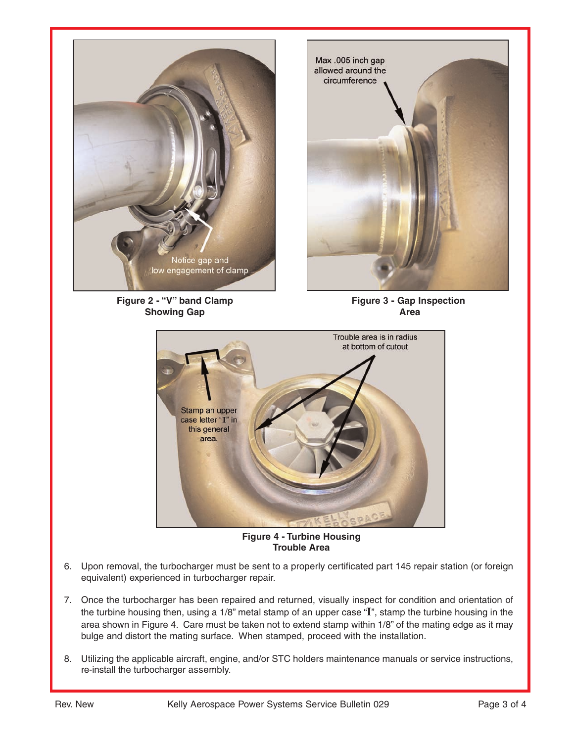

**Figure 2 - "V" band Clamp Showing Gap**



**Figure 3 - Gap Inspection Area**



**Figure 4 - Turbine Housing Trouble Area**

- 6. Upon removal, the turbocharger must be sent to a properly certificated part 145 repair station (or foreign equivalent) experienced in turbocharger repair.
- 7. Once the turbocharger has been repaired and returned, visually inspect for condition and orientation of the turbine housing then, using a 1/8" metal stamp of an upper case "**I**", stamp the turbine housing in the area shown in Figure 4. Care must be taken not to extend stamp within 1/8" of the mating edge as it may bulge and distort the mating surface. When stamped, proceed with the installation.
- 8. Utilizing the applicable aircraft, engine, and/or STC holders maintenance manuals or service instructions, re-install the turbocharger assembly.